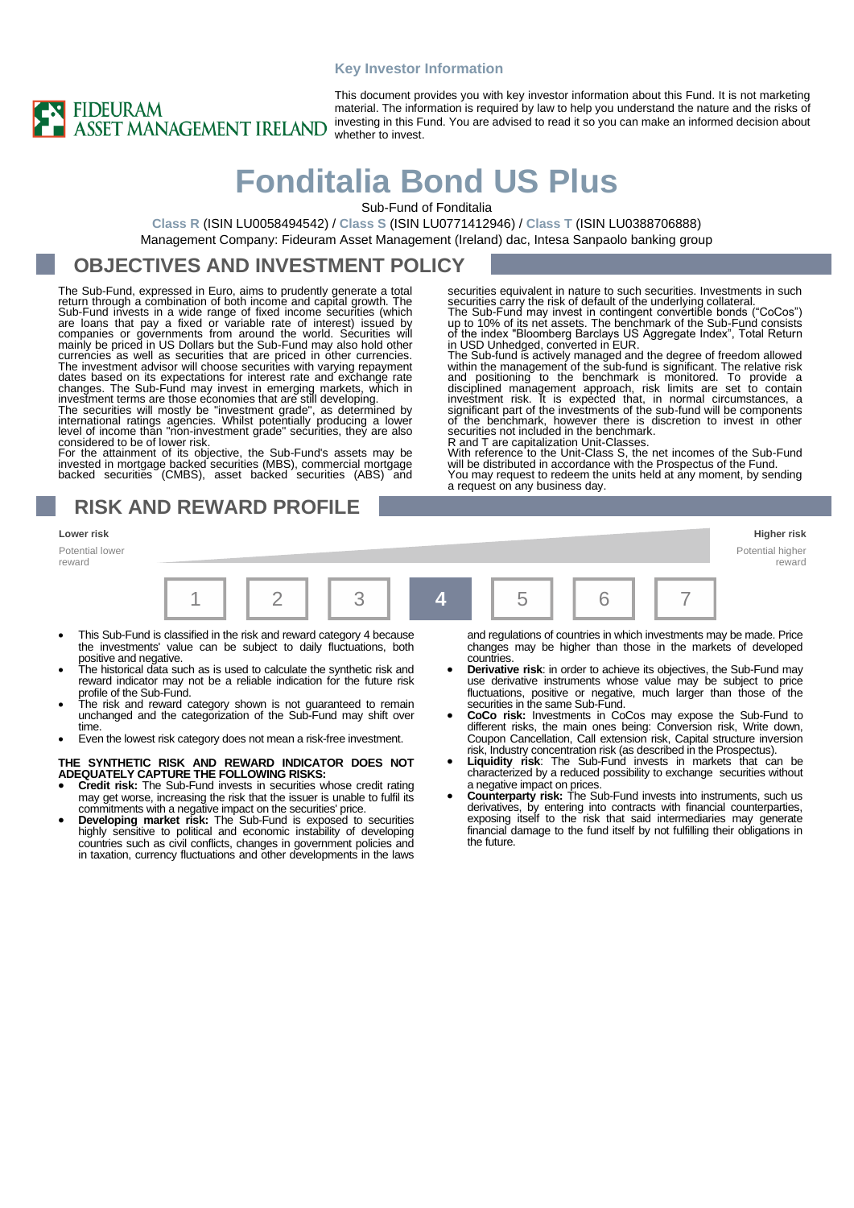### **Key Investor Information**



This document provides you with key investor information about this Fund. It is not marketing material. The information is required by law to help you understand the nature and the risks of investing in this Fund. You are advised to read it so you can make an informed decision about whether to invest.

# **Fonditalia Bond US Plus**

Sub-Fund of Fonditalia

**Class R** (ISIN LU0058494542) / **Class S** (ISIN LU0771412946) / **Class T** (ISIN LU0388706888) Management Company: Fideuram Asset Management (Ireland) dac, Intesa Sanpaolo banking group

## **OBJECTIVES AND INVESTMENT POLICY**

The Sub-Fund, expressed in Euro, aims to prudently generate a total return through a combination of both income and capital growth. The<br>Sub-Fund invests in a wide range of fixed income securities (which<br>are loans that pay a fixed or variable rate of interest) issued by<br>companies or governm currencies as well as securities that are priced in other currencies.<br>The investment advisor will choose securities with varying repayment dates based on its expectations for interest rate and exchange rate changes. The Su

considered to be of lower risk.

For the attainment of its objective, the Sub-Fund's assets may be invested in mortgage backed securities (MBS), commercial mortgage backed securities (CMBS), asset backed securities (ABS) and

### **RISK AND REWARD PROFILE**

Potential lower reward



- This Sub-Fund is classified in the risk and reward category 4 because the investments' value can be subject to daily fluctuations, both positive and negative.
- The historical data such as is used to calculate the synthetic risk and reward indicator may not be a reliable indication for the future risk profile of the Sub-Fund.
- The risk and reward category shown is not guaranteed to remain unchanged and the categorization of the Sub-Fund may shift over time.
- Even the lowest risk category does not mean a risk-free investment.

### **THE SYNTHETIC RISK AND REWARD INDICATOR DOES NOT ADEQUATELY CAPTURE THE FOLLOWING RISKS:** • **Credit risk:** The Sub-Fund invests in securities whose credit rating

- may get worse, increasing the risk that the issuer is unable to fulfil its commitments with a negative impact on the securities' price. • **Developing market risk:** The Sub-Fund is exposed to securities
- highly sensitive to political and economic instability of developing countries such as civil conflicts, changes in government policies and in taxation, currency fluctuations and other developments in the laws

and regulations of countries in which investments may be made. Price changes may be higher than those in the markets of developed countries.

**Derivative risk:** in order to achieve its objectives, the Sub-Fund may use derivative instruments whose value may be subject to price fluctuations, positive or negative, much larger than those of the securities in the same Sub-Fund.

securities equivalent in nature to such securities. Investments in such

securities carry the risk of default of the underlying collateral.<br>The Sub-Fund may invest in contingent convertible bonds ("CoCos")<br>up to 10% of its net assets. The benchmark of the Sub-Fund consists<br>of the index "Bloombe

The Sub-fund is actively managed and the degree of freedom allowed<br>within the management of the sub-fund is significant. The relative risk<br>and positioning to the benchmark is monitored. To provide a<br>disciplined management

significant part of the investments of the sub-fund will be components of the benchmark, however there is discretion to invest in other securities not included in the benchmark.

With reference to the Unit-Class S, the net incomes of the Sub-Fund will be distributed in accordance with the Prospectus of the Fund. You may request to redeem the units held at any moment, by sending

and T are capitalization Unit-Classes.

a request on any business day.

- **CoCo risk:** Investments in CoCos may expose the Sub-Fund to different risks, the main ones being: Conversion risk, Write down, Coupon Cancellation, Call extension risk, Capital structure inversion risk, Industry concentration risk (as described in the Prospectus).
- Liquidity risk: The Sub-Fund invests in markets that can be characterized by a reduced possibility to exchange securities without
- a negative impact on prices. **Counterparty risk:** The Sub-Fund invests into instruments, such us derivatives, by entering into contracts with financial counterparties, exposing itself to the risk that said intermediaries may generate financial damage to the fund itself by not fulfilling their obligations in the future.

**Lower risk Higher risk**

reward